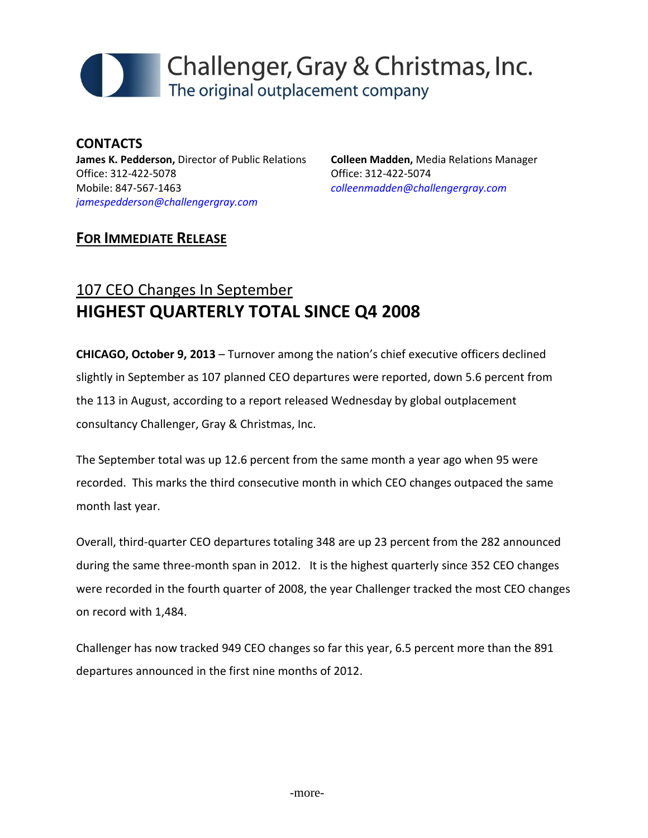

#### **CONTACTS James K. Pedderson,** Director of Public Relations Office: 312-422-5078 Mobile: 847-567-1463 *[jamespedderson@challengergray.com](mailto:jamespedderson@challengergray.com)*

**Colleen Madden,** Media Relations Manager Office: 312-422-5074 *[colleenmadden@challengergray.com](mailto:colleenmadden@challengergray.com)*

### **FOR IMMEDIATE RELEASE**

# 107 CEO Changes In September **HIGHEST QUARTERLY TOTAL SINCE Q4 2008**

**CHICAGO, October 9, 2013** – Turnover among the nation's chief executive officers declined slightly in September as 107 planned CEO departures were reported, down 5.6 percent from the 113 in August, according to a report released Wednesday by global outplacement consultancy Challenger, Gray & Christmas, Inc.

The September total was up 12.6 percent from the same month a year ago when 95 were recorded. This marks the third consecutive month in which CEO changes outpaced the same month last year.

Overall, third-quarter CEO departures totaling 348 are up 23 percent from the 282 announced during the same three-month span in 2012. It is the highest quarterly since 352 CEO changes were recorded in the fourth quarter of 2008, the year Challenger tracked the most CEO changes on record with 1,484.

Challenger has now tracked 949 CEO changes so far this year, 6.5 percent more than the 891 departures announced in the first nine months of 2012.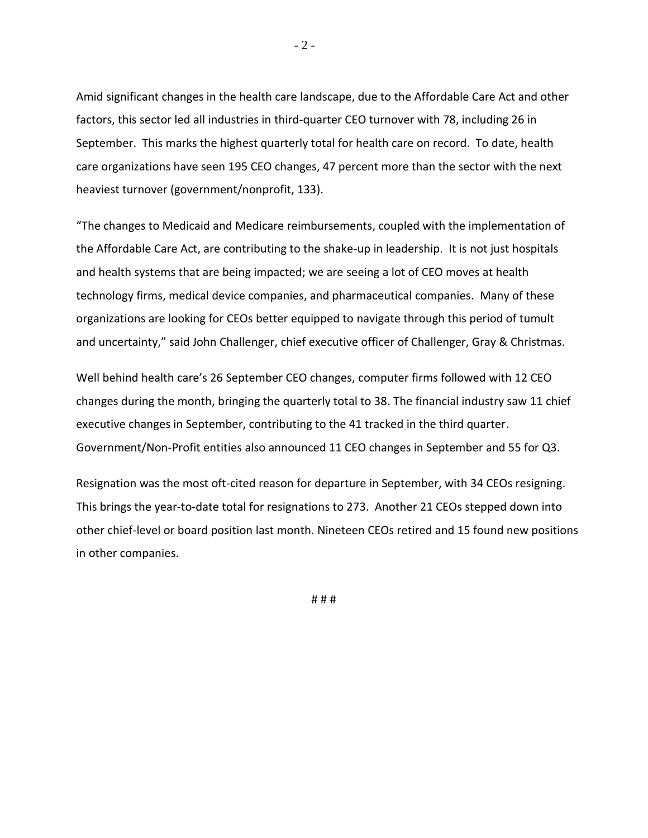Amid significant changes in the health care landscape, due to the Affordable Care Act and other factors, this sector led all industries in third-quarter CEO turnover with 78, including 26 in September. This marks the highest quarterly total for health care on record. To date, health care organizations have seen 195 CEO changes, 47 percent more than the sector with the next heaviest turnover (government/nonprofit, 133).

"The changes to Medicaid and Medicare reimbursements, coupled with the implementation of the Affordable Care Act, are contributing to the shake-up in leadership. It is not just hospitals and health systems that are being impacted; we are seeing a lot of CEO moves at health technology firms, medical device companies, and pharmaceutical companies. Many of these organizations are looking for CEOs better equipped to navigate through this period of tumult and uncertainty," said John Challenger, chief executive officer of Challenger, Gray & Christmas.

Well behind health care's 26 September CEO changes, computer firms followed with 12 CEO changes during the month, bringing the quarterly total to 38. The financial industry saw 11 chief executive changes in September, contributing to the 41 tracked in the third quarter. Government/Non-Profit entities also announced 11 CEO changes in September and 55 for Q3.

Resignation was the most oft-cited reason for departure in September, with 34 CEOs resigning. This brings the year-to-date total for resignations to 273. Another 21 CEOs stepped down into other chief-level or board position last month. Nineteen CEOs retired and 15 found new positions in other companies.

# # #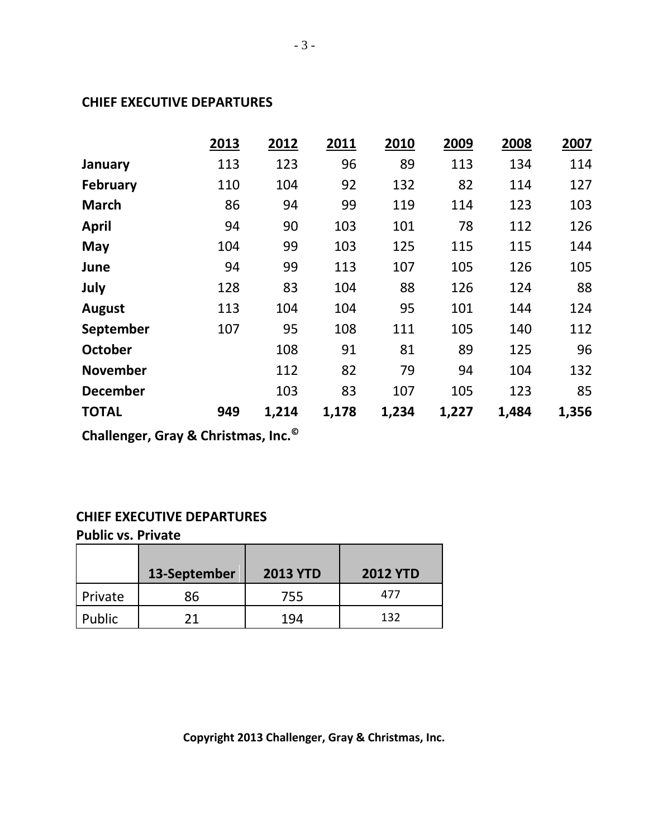### **CHIEF EXECUTIVE DEPARTURES**

|                 | 2013 | 2012   | 2011  | 2010  | 2009  | 2008  | 2007  |
|-----------------|------|--------|-------|-------|-------|-------|-------|
| January         | 113  | 123    | 96    | 89    | 113   | 134   | 114   |
| <b>February</b> | 110  | 104    | 92    | 132   | 82    | 114   | 127   |
| <b>March</b>    | 86   | 94     | 99    | 119   | 114   | 123   | 103   |
| <b>April</b>    | 94   | 90     | 103   | 101   | 78    | 112   | 126   |
| May             | 104  | 99     | 103   | 125   | 115   | 115   | 144   |
| June            | 94   | 99     | 113   | 107   | 105   | 126   | 105   |
| July            | 128  | 83     | 104   | 88    | 126   | 124   | 88    |
| <b>August</b>   | 113  | 104    | 104   | 95    | 101   | 144   | 124   |
| September       | 107  | 95     | 108   | 111   | 105   | 140   | 112   |
| <b>October</b>  |      | 108    | 91    | 81    | 89    | 125   | 96    |
| <b>November</b> |      | 112    | 82    | 79    | 94    | 104   | 132   |
| <b>December</b> |      | 103    | 83    | 107   | 105   | 123   | 85    |
| <b>TOTAL</b>    | 949  | 1,214  | 1,178 | 1,234 | 1,227 | 1,484 | 1,356 |
|                 |      | $\sim$ |       |       |       |       |       |

**Challenger, Gray & Christmas, Inc.©**

### **CHIEF EXECUTIVE DEPARTURES**

**Public vs. Private**

|         | 13-September | <b>2013 YTD</b> | <b>2012 YTD</b> |
|---------|--------------|-----------------|-----------------|
| Private | 86           | 755             | 477             |
| Public  |              | 194             | 132             |

**Copyright 2013 Challenger, Gray & Christmas, Inc.**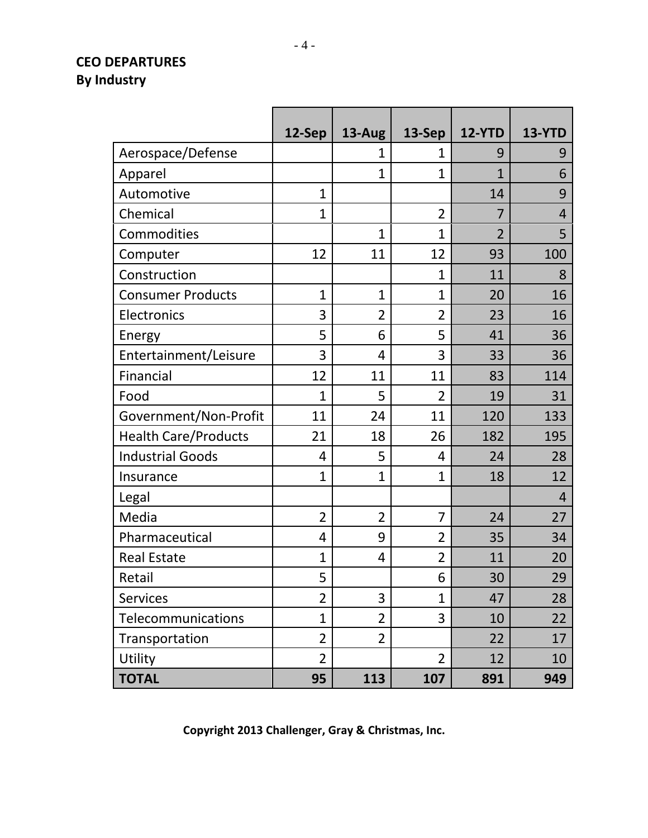## **CEO DEPARTURES By Industry**

|                             | 12-Sep         | 13-Aug         | 13-Sep         | <b>12-YTD</b>  | <b>13-YTD</b>  |
|-----------------------------|----------------|----------------|----------------|----------------|----------------|
| Aerospace/Defense           |                | 1              | 1              | 9              | 9              |
| Apparel                     |                | $\overline{1}$ | $\overline{1}$ | $\mathbf{1}$   | 6              |
| Automotive                  | $\mathbf{1}$   |                |                | 14             | 9              |
| Chemical                    | $\mathbf{1}$   |                | $\overline{2}$ | 7              | 4              |
| Commodities                 |                | $\overline{1}$ | $\mathbf{1}$   | $\overline{2}$ | 5              |
| Computer                    | 12             | 11             | 12             | 93             | 100            |
| Construction                |                |                | $\mathbf{1}$   | 11             | 8              |
| <b>Consumer Products</b>    | $\mathbf{1}$   | $\overline{1}$ | $\overline{1}$ | 20             | 16             |
| Electronics                 | 3              | $\overline{2}$ | $\overline{2}$ | 23             | 16             |
| Energy                      | 5              | 6              | 5              | 41             | 36             |
| Entertainment/Leisure       | 3              | 4              | 3              | 33             | 36             |
| Financial                   | 12             | 11             | 11             | 83             | 114            |
| Food                        | $\overline{1}$ | 5              | $\overline{2}$ | 19             | 31             |
| Government/Non-Profit       | 11             | 24             | 11             | 120            | 133            |
| <b>Health Care/Products</b> | 21             | 18             | 26             | 182            | 195            |
| <b>Industrial Goods</b>     | 4              | 5              | 4              | 24             | 28             |
| Insurance                   | $\mathbf{1}$   | $\overline{1}$ | $\mathbf{1}$   | 18             | 12             |
| Legal                       |                |                |                |                | $\overline{4}$ |
| Media                       | $\overline{2}$ | $\overline{2}$ | 7              | 24             | 27             |
| Pharmaceutical              | 4              | 9              | $\overline{2}$ | 35             | 34             |
| <b>Real Estate</b>          | $\overline{1}$ | 4              | $\overline{2}$ | 11             | 20             |
| Retail                      | 5              |                | 6              | 30             | 29             |
| <b>Services</b>             | $\overline{2}$ | 3              | $\overline{1}$ | 47             | 28             |
| Telecommunications          | $\mathbf 1$    | $\overline{2}$ | 3              | 10             | 22             |
| Transportation              | $\overline{2}$ | $\overline{2}$ |                | 22             | 17             |
| Utility                     | $\overline{2}$ |                | $\overline{2}$ | 12             | 10             |
| <b>TOTAL</b>                | 95             | 113            | 107            | 891            | 949            |

**Copyright 2013 Challenger, Gray & Christmas, Inc.**